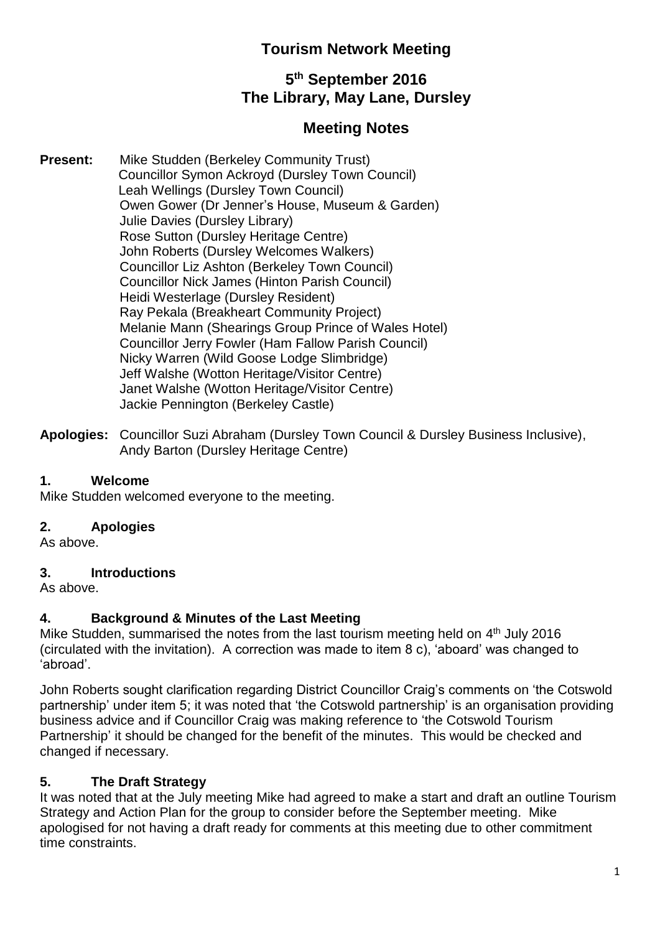# **Tourism Network Meeting**

# **5 th September 2016 The Library, May Lane, Dursley**

# **Meeting Notes**

- **Present:** Mike Studden (Berkeley Community Trust) Councillor Symon Ackroyd (Dursley Town Council) Leah Wellings (Dursley Town Council) Owen Gower (Dr Jenner's House, Museum & Garden) Julie Davies (Dursley Library) Rose Sutton (Dursley Heritage Centre) John Roberts (Dursley Welcomes Walkers) Councillor Liz Ashton (Berkeley Town Council) Councillor Nick James (Hinton Parish Council) Heidi Westerlage (Dursley Resident) Ray Pekala (Breakheart Community Project) Melanie Mann (Shearings Group Prince of Wales Hotel) Councillor Jerry Fowler (Ham Fallow Parish Council) Nicky Warren (Wild Goose Lodge Slimbridge) Jeff Walshe (Wotton Heritage/Visitor Centre) Janet Walshe (Wotton Heritage/Visitor Centre) Jackie Pennington (Berkeley Castle)
- **Apologies:** Councillor Suzi Abraham (Dursley Town Council & Dursley Business Inclusive), Andy Barton (Dursley Heritage Centre)

# **1. Welcome**

Mike Studden welcomed everyone to the meeting.

# **2. Apologies**

As above.

### **3. Introductions**

As above.

# **4. Background & Minutes of the Last Meeting**

Mike Studden, summarised the notes from the last tourism meeting held on  $4<sup>th</sup>$  July 2016 (circulated with the invitation). A correction was made to item 8 c), 'aboard' was changed to 'abroad'.

John Roberts sought clarification regarding District Councillor Craig's comments on 'the Cotswold partnership' under item 5; it was noted that 'the Cotswold partnership' is an organisation providing business advice and if Councillor Craig was making reference to 'the Cotswold Tourism Partnership' it should be changed for the benefit of the minutes. This would be checked and changed if necessary.

# **5. The Draft Strategy**

It was noted that at the July meeting Mike had agreed to make a start and draft an outline Tourism Strategy and Action Plan for the group to consider before the September meeting. Mike apologised for not having a draft ready for comments at this meeting due to other commitment time constraints.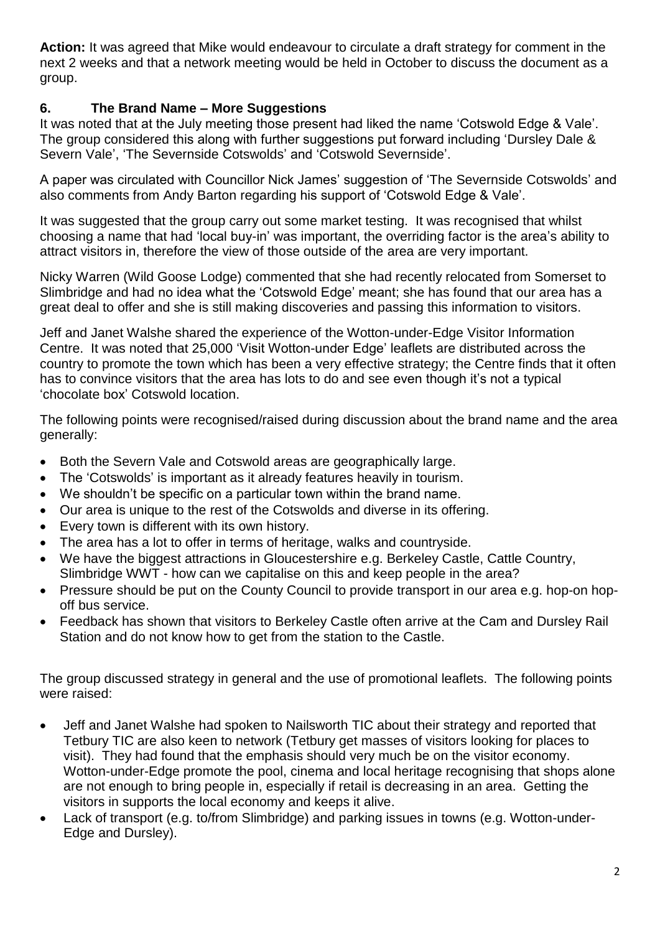**Action:** It was agreed that Mike would endeavour to circulate a draft strategy for comment in the next 2 weeks and that a network meeting would be held in October to discuss the document as a group.

# **6. The Brand Name – More Suggestions**

It was noted that at the July meeting those present had liked the name 'Cotswold Edge & Vale'. The group considered this along with further suggestions put forward including 'Dursley Dale & Severn Vale', 'The Severnside Cotswolds' and 'Cotswold Severnside'.

A paper was circulated with Councillor Nick James' suggestion of 'The Severnside Cotswolds' and also comments from Andy Barton regarding his support of 'Cotswold Edge & Vale'.

It was suggested that the group carry out some market testing. It was recognised that whilst choosing a name that had 'local buy-in' was important, the overriding factor is the area's ability to attract visitors in, therefore the view of those outside of the area are very important.

Nicky Warren (Wild Goose Lodge) commented that she had recently relocated from Somerset to Slimbridge and had no idea what the 'Cotswold Edge' meant; she has found that our area has a great deal to offer and she is still making discoveries and passing this information to visitors.

Jeff and Janet Walshe shared the experience of the Wotton-under-Edge Visitor Information Centre. It was noted that 25,000 'Visit Wotton-under Edge' leaflets are distributed across the country to promote the town which has been a very effective strategy; the Centre finds that it often has to convince visitors that the area has lots to do and see even though it's not a typical 'chocolate box' Cotswold location.

The following points were recognised/raised during discussion about the brand name and the area generally:

- Both the Severn Vale and Cotswold areas are geographically large.
- The 'Cotswolds' is important as it already features heavily in tourism.
- We shouldn't be specific on a particular town within the brand name.
- Our area is unique to the rest of the Cotswolds and diverse in its offering.
- Every town is different with its own history.
- The area has a lot to offer in terms of heritage, walks and countryside.
- We have the biggest attractions in Gloucestershire e.g. Berkeley Castle, Cattle Country, Slimbridge WWT - how can we capitalise on this and keep people in the area?
- Pressure should be put on the County Council to provide transport in our area e.g. hop-on hopoff bus service.
- Feedback has shown that visitors to Berkeley Castle often arrive at the Cam and Dursley Rail Station and do not know how to get from the station to the Castle.

The group discussed strategy in general and the use of promotional leaflets. The following points were raised:

- Jeff and Janet Walshe had spoken to Nailsworth TIC about their strategy and reported that Tetbury TIC are also keen to network (Tetbury get masses of visitors looking for places to visit). They had found that the emphasis should very much be on the visitor economy. Wotton-under-Edge promote the pool, cinema and local heritage recognising that shops alone are not enough to bring people in, especially if retail is decreasing in an area. Getting the visitors in supports the local economy and keeps it alive.
- Lack of transport (e.g. to/from Slimbridge) and parking issues in towns (e.g. Wotton-under-Edge and Dursley).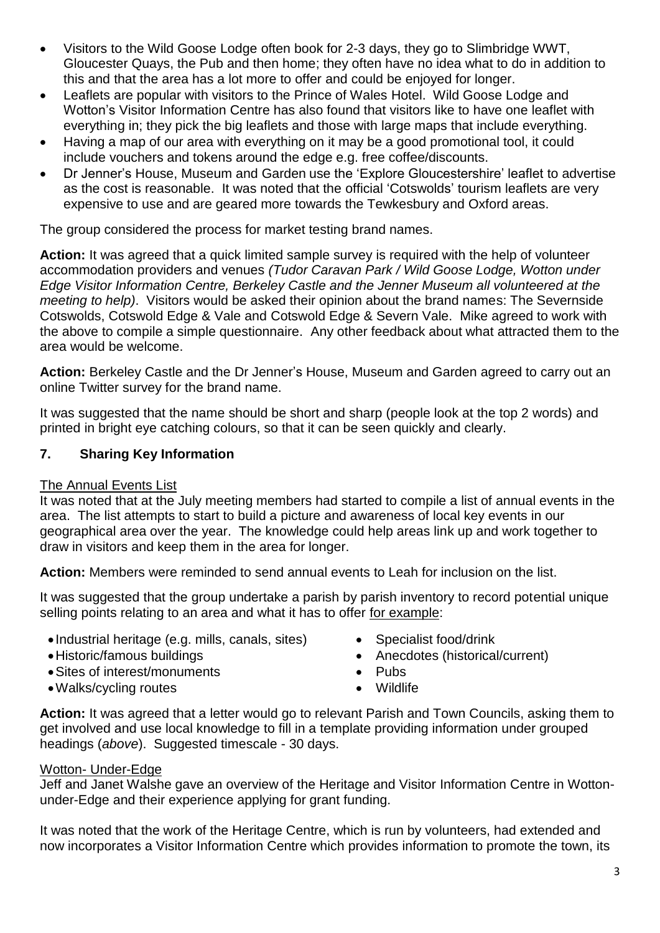- Visitors to the Wild Goose Lodge often book for 2-3 days, they go to Slimbridge WWT, Gloucester Quays, the Pub and then home; they often have no idea what to do in addition to this and that the area has a lot more to offer and could be enjoyed for longer.
- Leaflets are popular with visitors to the Prince of Wales Hotel. Wild Goose Lodge and Wotton's Visitor Information Centre has also found that visitors like to have one leaflet with everything in; they pick the big leaflets and those with large maps that include everything.
- Having a map of our area with everything on it may be a good promotional tool, it could include vouchers and tokens around the edge e.g. free coffee/discounts.
- Dr Jenner's House, Museum and Garden use the 'Explore Gloucestershire' leaflet to advertise as the cost is reasonable. It was noted that the official 'Cotswolds' tourism leaflets are very expensive to use and are geared more towards the Tewkesbury and Oxford areas.

The group considered the process for market testing brand names.

**Action:** It was agreed that a quick limited sample survey is required with the help of volunteer accommodation providers and venues *(Tudor Caravan Park / Wild Goose Lodge, Wotton under Edge Visitor Information Centre, Berkeley Castle and the Jenner Museum all volunteered at the meeting to help)*. Visitors would be asked their opinion about the brand names: The Severnside Cotswolds, Cotswold Edge & Vale and Cotswold Edge & Severn Vale. Mike agreed to work with the above to compile a simple questionnaire. Any other feedback about what attracted them to the area would be welcome.

**Action:** Berkeley Castle and the Dr Jenner's House, Museum and Garden agreed to carry out an online Twitter survey for the brand name.

It was suggested that the name should be short and sharp (people look at the top 2 words) and printed in bright eye catching colours, so that it can be seen quickly and clearly.

# **7. Sharing Key Information**

# The Annual Events List

It was noted that at the July meeting members had started to compile a list of annual events in the area. The list attempts to start to build a picture and awareness of local key events in our geographical area over the year. The knowledge could help areas link up and work together to draw in visitors and keep them in the area for longer.

**Action:** Members were reminded to send annual events to Leah for inclusion on the list.

It was suggested that the group undertake a parish by parish inventory to record potential unique selling points relating to an area and what it has to offer for example:

- Industrial heritage (e.g. mills, canals, sites) Specialist food/drink
- 
- Sites of interest/monuments Pubs
- Walks/cycling routes **Wildlife**
- 
- Historic/famous buildings **Anecdotes** (historical/current)
	-
	-

**Action:** It was agreed that a letter would go to relevant Parish and Town Councils, asking them to get involved and use local knowledge to fill in a template providing information under grouped headings (*above*). Suggested timescale - 30 days.

# Wotton- Under-Edge

Jeff and Janet Walshe gave an overview of the Heritage and Visitor Information Centre in Wottonunder-Edge and their experience applying for grant funding.

It was noted that the work of the Heritage Centre, which is run by volunteers, had extended and now incorporates a Visitor Information Centre which provides information to promote the town, its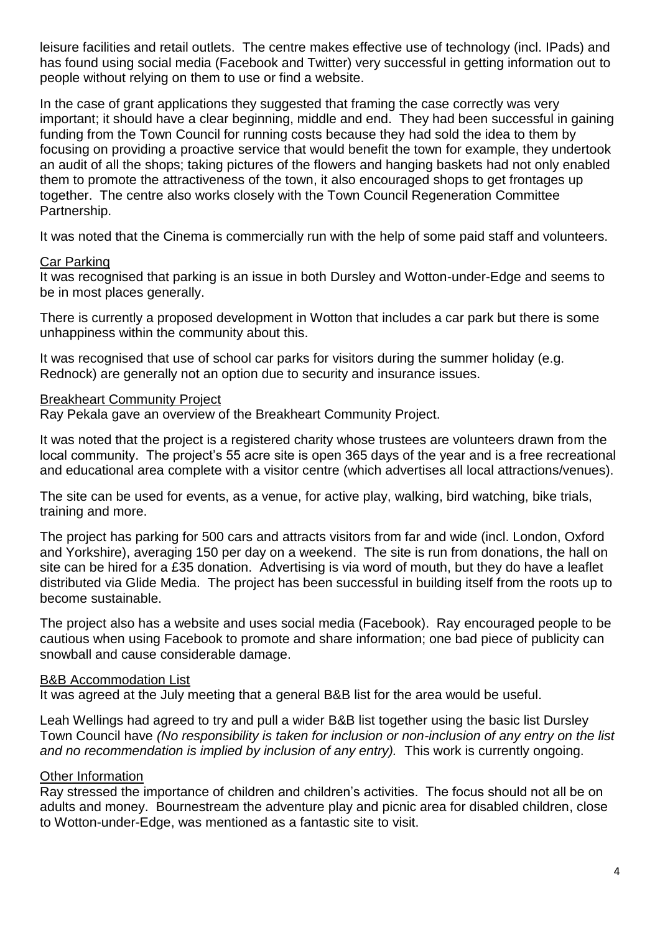leisure facilities and retail outlets. The centre makes effective use of technology (incl. IPads) and has found using social media (Facebook and Twitter) very successful in getting information out to people without relying on them to use or find a website.

In the case of grant applications they suggested that framing the case correctly was very important; it should have a clear beginning, middle and end. They had been successful in gaining funding from the Town Council for running costs because they had sold the idea to them by focusing on providing a proactive service that would benefit the town for example, they undertook an audit of all the shops; taking pictures of the flowers and hanging baskets had not only enabled them to promote the attractiveness of the town, it also encouraged shops to get frontages up together. The centre also works closely with the Town Council Regeneration Committee Partnership.

It was noted that the Cinema is commercially run with the help of some paid staff and volunteers.

### Car Parking

It was recognised that parking is an issue in both Dursley and Wotton-under-Edge and seems to be in most places generally.

There is currently a proposed development in Wotton that includes a car park but there is some unhappiness within the community about this.

It was recognised that use of school car parks for visitors during the summer holiday (e.g. Rednock) are generally not an option due to security and insurance issues.

### Breakheart Community Project

Ray Pekala gave an overview of the Breakheart Community Project.

It was noted that the project is a registered charity whose trustees are volunteers drawn from the local community. The project's 55 acre site is open 365 days of the year and is a free recreational and educational area complete with a visitor centre (which advertises all local attractions/venues).

The site can be used for events, as a venue, for active play, walking, bird watching, bike trials, training and more.

The project has parking for 500 cars and attracts visitors from far and wide (incl. London, Oxford and Yorkshire), averaging 150 per day on a weekend. The site is run from donations, the hall on site can be hired for a £35 donation. Advertising is via word of mouth, but they do have a leaflet distributed via Glide Media. The project has been successful in building itself from the roots up to become sustainable.

The project also has a website and uses social media (Facebook). Ray encouraged people to be cautious when using Facebook to promote and share information; one bad piece of publicity can snowball and cause considerable damage.

### B&B Accommodation List

It was agreed at the July meeting that a general B&B list for the area would be useful.

Leah Wellings had agreed to try and pull a wider B&B list together using the basic list Dursley Town Council have *(No responsibility is taken for inclusion or non-inclusion of any entry on the list and no recommendation is implied by inclusion of any entry).* This work is currently ongoing.

### Other Information

Ray stressed the importance of children and children's activities. The focus should not all be on adults and money. Bournestream the adventure play and picnic area for disabled children, close to Wotton-under-Edge, was mentioned as a fantastic site to visit.